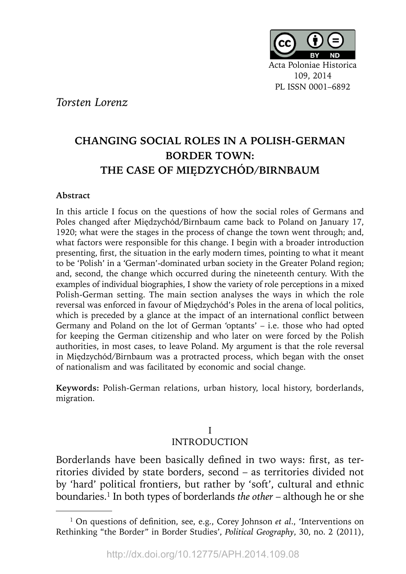

*Torsten Lorenz*

# **CHANGING SOCIAL ROLES IN A POLISH-GERMAN BORDER TOWN: THE CASE OF MIĘ DZYCHÓ D/BIRNBAUM**

## **Abstract**

In this article I focus on the questions of how the social roles of Germans and Poles changed after Międzychód**/**Birnbaum came back to Poland on January 17, 1920; what were the stages in the process of change the town went through; and, what factors were responsible for this change. I begin with a broader introduction presenting, first, the situation in the early modern times, pointing to what it meant to be 'Polish' in a 'German'-dominated urban society in the Greater Poland region; and, second, the change which occurred during the nineteenth century. With the examples of individual biographies, I show the variety of role perceptions in a mixed Polish-German setting. The main section analyses the ways in which the role reversal was enforced in favour of Międzychód's Poles in the arena of local politics, which is preceded by a glance at the impact of an international conflict between Germany and Poland on the lot of German 'optants' – i.e. those who had opted for keeping the German citizenship and who later on were forced by the Polish authorities, in most cases, to leave Poland. My argument is that the role reversal in Międzychód/Birnbaum was a protracted process, which began with the onset of nationalism and was facilitated by economic and social change.

**Keywords:** Polish-German relations, urban history, local history, borderlands, migration.

## I INTRODUCTION

Borderlands have been basically defined in two ways: first, as territories divided by state borders, second – as territories divided not by 'hard' political frontiers, but rather by 'soft', cultural and ethnic boundaries.1 In both types of borderlands *the other* – although he or she

<sup>&</sup>lt;sup>1</sup> On questions of definition, see, e.g., Corey Johnson *et al.*, 'Interventions on Rethinking "the Border" in Border Studies', *Political Geography*, 30, no. 2 (2011),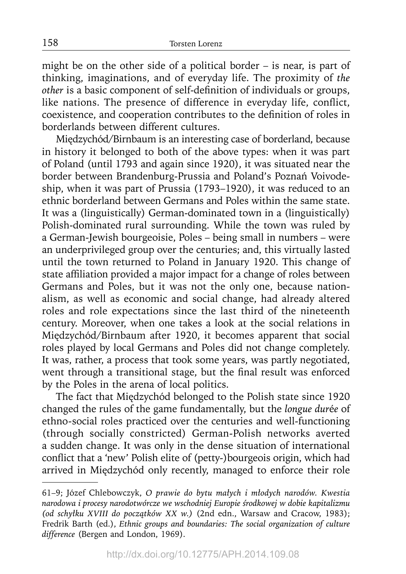might be on the other side of a political border – is near, is part of thinking, imaginations, and of everyday life. The proximity of *the other* is a basic component of self-definition of individuals or groups, like nations. The presence of difference in everyday life, conflict, coexistence, and cooperation contributes to the definition of roles in borderlands between different cultures.

Międzychód/Birnbaum is an interesting case of borderland, because in history it belonged to both of the above types: when it was part of Poland (until 1793 and again since 1920), it was situated near the border between Brandenburg-Prussia and Poland's Poznań Voivodeship, when it was part of Prussia (1793–1920), it was reduced to an ethnic borderland between Germans and Poles within the same state. It was a (linguistically) German-dominated town in a (linguistically) Polish-dominated rural surrounding. While the town was ruled by a German-Jewish bourgeoisie, Poles – being small in numbers – were an underprivileged group over the centuries; and, this virtually lasted until the town returned to Poland in January 1920. This change of state affiliation provided a major impact for a change of roles between Germans and Poles, but it was not the only one, because nationalism, as well as economic and social change, had already altered roles and role expectations since the last third of the nineteenth century. Moreover, when one takes a look at the social relations in Międzychód/Birnbaum after 1920, it becomes apparent that social roles played by local Germans and Poles did not change completely. It was, rather, a process that took some years, was partly negotiated, went through a transitional stage, but the final result was enforced by the Poles in the arena of local politics.

The fact that Międzychód belonged to the Polish state since 1920 changed the rules of the game fundamentally, but the *longue dur*é*e* of ethno-social roles practiced over the centuries and well-functioning (through socially constricted) German-Polish networks averted a sudden change. It was only in the dense situation of international conflict that a 'new' Polish elite of (petty-)bourgeois origin, which had arrived in Międzychód only recently, managed to enforce their role

<sup>61–9;</sup> Józef Chlebowczyk, *O prawie do bytu małych i młodych narodów. Kwestia narodowa i procesy narodotwórcze we wschodniej Europie środkowej w dobie kapitalizmu (od schyłku XVIII do początków XX w.)* (2nd edn., Warsaw and Cracow, 1983); Fredrik Barth (ed.), *Ethnic groups and boundaries: The social organization of culture difference* (Bergen and London, 1969).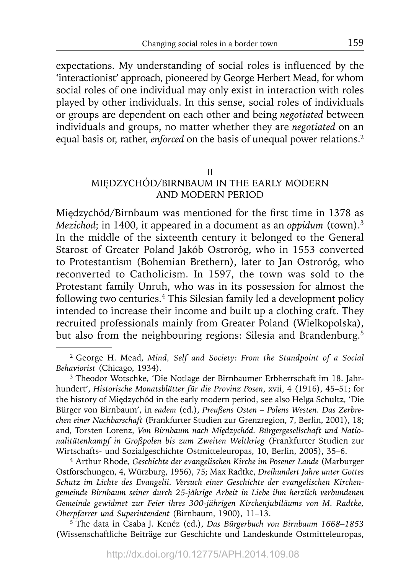expectations. My understanding of social roles is influenced by the 'interactionist' approach, pioneered by George Herbert Mead, for whom social roles of one individual may only exist in interaction with roles played by other individuals. In this sense, social roles of individuals or groups are dependent on each other and being *negotiated* between individuals and groups, no matter whether they are *negotiated* on an equal basis or, rather, *enforced* on the basis of unequal power relations.<sup>2</sup>

#### II

## MIĘDZYCHÓD/BIRNBAUM IN THE EARLY MODERN AND MODERN PERIOD

Międzychód/Birnbaum was mentioned for the first time in 1378 as *Mezichod*; in 1400, it appeared in a document as an *oppidum* (town).3 In the middle of the sixteenth century it belonged to the General Starost of Greater Poland Jakób Ostroróg, who in 1553 converted to Protestantism (Bohemian Brethern), later to Jan Ostroróg, who reconverted to Catholicism. In 1597, the town was sold to the Protestant family Unruh, who was in its possession for almost the following two centuries.4 This Silesian family led a development policy intended to increase their income and built up a clothing craft. They recruited professionals mainly from Greater Poland (Wielkopolska), but also from the neighbouring regions: Silesia and Brandenburg.5

4 Arthur Rhode, *Geschichte der evangelischen Kirche im Posener Lande* (Marburger Ostforschungen, 4, Würzburg, 1956), 75; Max Radtke, *Dreihundert Jahre unter Gottes Schutz im Lichte des Evangelii. Versuch einer Geschichte der evangelischen Kirchengemeinde Birnbaum seiner durch 25-jährige Arbeit in Liebe ihm herzlich verbundenen Gemeinde gewidmet zur Feier ihres 300-jährigen Kirchenjubiläums von M. Radtke, Oberpfarrer und Superintendent* (Birnbaum, 1900), 11–13.

5 The data in Csaba J. Kenéz (ed.), *Das Bürgerbuch von Birnbaum 1668–1853*  (Wissenschaftliche Beiträge zur Geschichte und Landeskunde Ostmitteleuropas,

<sup>2</sup> George H. Mead, *Mind, Self and Society: From the Standpoint of a Social Behaviorist* (Chicago, 1934).

<sup>3</sup> Theodor Wotschke, 'Die Notlage der Birnbaumer Erbherrschaft im 18. Jahrhundert', *Historische Monatsblätter für die Provinz Posen*, xvii, 4 (1916), 45–51; for the history of Międzychód in the early modern period, see also Helga Schultz, 'Die Bürger von Birnbaum', in *eadem* (ed.), *Preußens Osten – Polens Westen. Das Zerbrechen einer Nachbarschaft* (Frankfurter Studien zur Grenzregion, 7, Berlin, 2001), 18; and, Torsten Lorenz, *Von Birnbaum nach Międzychód. Bürgergesellschaft und Nationalitätenkampf in Großpolen bis zum Zweiten Weltkrieg* (Frankfurter Studien zur Wirtschafts- und Sozialgeschichte Ostmitteleuropas, 10, Berlin, 2005), 35–6.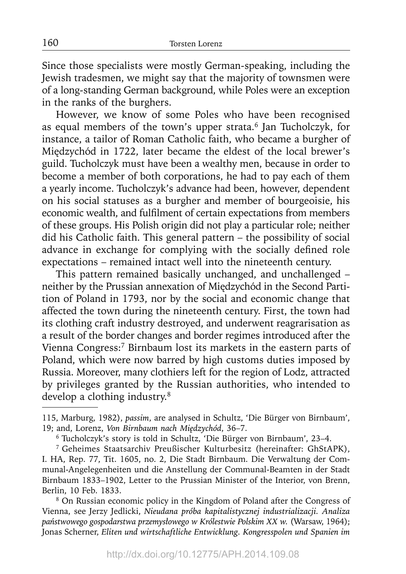Since those specialists were mostly German-speaking, including the Jewish tradesmen, we might say that the majority of townsmen were of a long-standing German background, while Poles were an exception in the ranks of the burghers.

However, we know of some Poles who have been recognised as equal members of the town's upper strata.<sup>6</sup> Jan Tucholczyk, for instance, a tailor of Roman Catholic faith, who became a burgher of Międzychód in 1722, later became the eldest of the local brewer's guild. Tucholczyk must have been a wealthy men, because in order to become a member of both corporations, he had to pay each of them a yearly income. Tucholczyk's advance had been, however, dependent on his social statuses as a burgher and member of bourgeoisie, his economic wealth, and fulfilment of certain expectations from members of these groups. His Polish origin did not play a particular role; neither did his Catholic faith. This general pattern – the possibility of social advance in exchange for complying with the socially defined role expectations – remained intact well into the nineteenth century.

This pattern remained basically unchanged, and unchallenged – neither by the Prussian annexation of Międzychód in the Second Partition of Poland in 1793, nor by the social and economic change that affected the town during the nineteenth century. First, the town had its clothing craft industry destroyed, and underwent reagrarisation as a result of the border changes and border regimes introduced after the Vienna Congress:7 Birnbaum lost its markets in the eastern parts of Poland, which were now barred by high customs duties imposed by Russia. Moreover, many clothiers left for the region of Lodz, attracted by privileges granted by the Russian authorities, who intended to develop a clothing industry.<sup>8</sup>

8 On Russian economic policy in the Kingdom of Poland after the Congress of Vienna, see Jerzy Jedlicki, *Nieudana próba kapitalistycznej industrializacji. Analiza państwowego gospodarstwa przemysłowego w Królestwie Polskim XX w.* (Warsaw, 1964); Jonas Scherner, *Eliten und wirtschaftliche Entwicklung. Kongresspolen und Spanien im* 

160

<sup>115,</sup> Marburg, 1982), *passim*, are analysed in Schultz, 'Die Bürger von Birnbaum', 19; and, Lorenz, *Von Birnbaum nach Międzychód*, 36–7.

<sup>6</sup> Tucholczyk's story is told in Schultz, 'Die Bürger von Birnbaum', 23–4.

<sup>7</sup> Geheimes Staatsarchiv Preußischer Kulturbesitz (hereinafter: GhStAPK), I. HA, Rep. 77, Tit. 1605, no. 2, Die Stadt Birnbaum. Die Verwaltung der Communal-Angelegenheiten und die Anstellung der Communal-Beamten in der Stadt Birnbaum 1833–1902, Letter to the Prussian Minister of the Interior, von Brenn, Berlin, 10 Feb. 1833.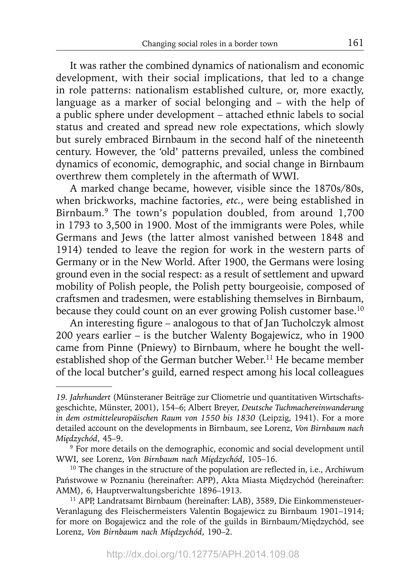It was rather the combined dynamics of nationalism and economic development, with their social implications, that led to a change in role patterns: nationalism established culture, or, more exactly, language as a marker of social belonging and – with the help of a public sphere under development – attached ethnic labels to social status and created and spread new role expectations, which slowly but surely embraced Birnbaum in the second half of the nineteenth century. However, the 'old' patterns prevailed, unless the combined dynamics of economic, demographic, and social change in Birnbaum overthrew them completely in the aftermath of WWI.

A marked change became, however, visible since the 1870s/80s, when brickworks, machine factories, *etc.*, were being established in Birnbaum.9 The town's population doubled, from around 1,700 in 1793 to 3,500 in 1900. Most of the immigrants were Poles, while Germans and Jews (the latter almost vanished between 1848 and 1914) tended to leave the region for work in the western parts of Germany or in the New World. After 1900, the Germans were losing ground even in the social respect: as a result of settlement and upward mobility of Polish people, the Polish petty bourgeoisie, composed of craftsmen and tradesmen, were establishing themselves in Birnbaum, because they could count on an ever growing Polish customer base.<sup>10</sup>

An interesting figure – analogous to that of Jan Tucholczyk almost 200 years earlier – is the butcher Walenty Bogajewicz, who in 1900 came from Pinne (Pniewy) to Birnbaum, where he bought the wellestablished shop of the German butcher Weber.<sup>11</sup> He became member of the local butcher's guild, earned respect among his local colleagues

*<sup>19.</sup> Jahrhundert* (Münsteraner Beiträge zur Cliometrie und quantitativen Wirtschaftsgeschichte, Münster, 2001), 154–6; Albert Breyer, *Deutsche Tuchmachereinwanderung in dem ostmitteleuropäischen Raum von 1550 bis 1830* (Leipzig, 1941). For a more detailed account on the developments in Birnbaum, see Lorenz, *Von Birnbaum nach Międzychód*, 45–9.

<sup>&</sup>lt;sup>9</sup> For more details on the demographic, economic and social development until WWI, see Lorenz, *Von Birnbaum nach Międzychód*, 105–16.

 $10$  The changes in the structure of the population are reflected in, i.e., Archiwum Państwowe w Poznaniu (hereinafter: APP), Akta Miasta Międzychód (hereinafter: AMM), 6, Hauptverwaltungsberichte 1896–1913.

<sup>&</sup>lt;sup>11</sup> APP, Landratsamt Birnbaum (hereinafter: LAB), 3589, Die Einkommensteuer-Veranlagung des Fleischermeisters Valentin Bogajewicz zu Birnbaum 1901–1914; for more on Bogajewicz and the role of the guilds in Birnbaum/Międzychód, see Lorenz, *Von Birnbaum nach Międzychód*, 190–2.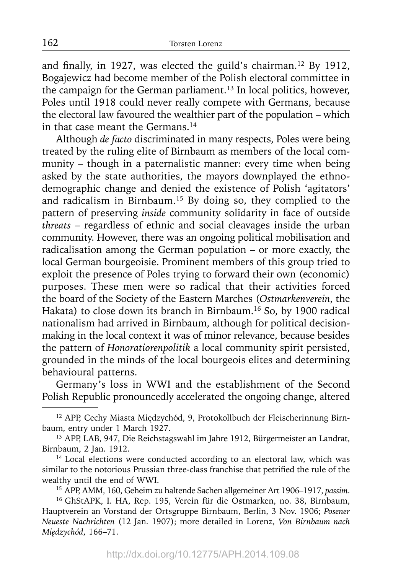and finally, in 1927, was elected the guild's chairman.<sup>12</sup> By 1912, Bogajewicz had become member of the Polish electoral committee in the campaign for the German parliament.<sup>13</sup> In local politics, however, Poles until 1918 could never really compete with Germans, because the electoral law favoured the wealthier part of the population – which in that case meant the Germans.<sup>14</sup>

Although *de facto* discriminated in many respects, Poles were being treated by the ruling elite of Birnbaum as members of the local community – though in a paternalistic manner: every time when being asked by the state authorities, the mayors downplayed the ethnodemographic change and denied the existence of Polish 'agitators' and radicalism in Birnbaum.15 By doing so, they complied to the pattern of preserving *inside* community solidarity in face of outside *threats* – regardless of ethnic and social cleavages inside the urban community. However, there was an ongoing political mobilisation and radicalisation among the German population – or more exactly, the local German bourgeoisie. Prominent members of this group tried to exploit the presence of Poles trying to forward their own (economic) purposes. These men were so radical that their activities forced the board of the Society of the Eastern Marches (*Ostmarkenverein*, the Hakata) to close down its branch in Birnbaum.16 So, by 1900 radical nationalism had arrived in Birnbaum, although for political decisionmaking in the local context it was of minor relevance, because besides the pattern of *Honoratiorenpolitik* a local community spirit persisted, grounded in the minds of the local bourgeois elites and determining behavioural patterns.

Germany's loss in WWI and the establishment of the Second Polish Republic pronouncedly accelerated the ongoing change, altered

162

<sup>12</sup> APP, Cechy Miasta Międzychód, 9, Protokollbuch der Fleischerinnung Birnbaum, entry under 1 March 1927.

<sup>13</sup> APP, LAB, 947, Die Reichstagswahl im Jahre 1912, Bürgermeister an Landrat, Birnbaum, 2 Jan. 1912.

<sup>&</sup>lt;sup>14</sup> Local elections were conducted according to an electoral law, which was similar to the notorious Prussian three-class franchise that petrified the rule of the wealthy until the end of WWI.

<sup>15</sup> APP, AMM, 160, Geheim zu haltende Sachen allgemeiner Art 1906–1917, *passim*.

<sup>&</sup>lt;sup>16</sup> GhStAPK, I. HA, Rep. 195, Verein für die Ostmarken, no. 38, Birnbaum, Hauptverein an Vorstand der Ortsgruppe Birnbaum, Berlin, 3 Nov. 1906; *Posener Neueste Nachrichten* (12 Jan. 1907); more detailed in Lorenz, *Von Birnbaum nach Międzychód*, 166–71.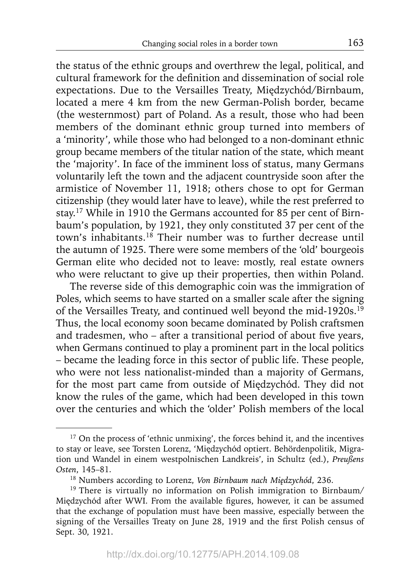the status of the ethnic groups and overthrew the legal, political, and cultural framework for the definition and dissemination of social role expectations. Due to the Versailles Treaty, Międzychód/Birnbaum, located a mere 4 km from the new German-Polish border, became (the westernmost) part of Poland. As a result, those who had been members of the dominant ethnic group turned into members of a 'minority', while those who had belonged to a non-dominant ethnic group became members of the titular nation of the state, which meant the 'majority'. In face of the imminent loss of status, many Germans voluntarily left the town and the adjacent countryside soon after the armistice of November 11, 1918; others chose to opt for German citizenship (they would later have to leave), while the rest preferred to stay.17 While in 1910 the Germans accounted for 85 per cent of Birnbaum's population, by 1921, they only constituted 37 per cent of the town's inhabitants.18 Their number was to further decrease until the autumn of 1925. There were some members of the 'old' bourgeois German elite who decided not to leave: mostly, real estate owners who were reluctant to give up their properties, then within Poland.

The reverse side of this demographic coin was the immigration of Poles, which seems to have started on a smaller scale after the signing of the Versailles Treaty, and continued well beyond the mid-1920s.<sup>19</sup> Thus, the local economy soon became dominated by Polish craftsmen and tradesmen, who  $-$  after a transitional period of about five years, when Germans continued to play a prominent part in the local politics – became the leading force in this sector of public life. These people, who were not less nationalist-minded than a majority of Germans, for the most part came from outside of Międzychód. They did not know the rules of the game, which had been developed in this town over the centuries and which the 'older' Polish members of the local

<sup>&</sup>lt;sup>17</sup> On the process of 'ethnic unmixing', the forces behind it, and the incentives to stay or leave, see Torsten Lorenz, 'Międzychód optiert. Behördenpolitik, Migration und Wandel in einem westpolnischen Landkreis', in Schultz (ed.), *Preußens Osten*, 145–81.

<sup>18</sup> Numbers according to Lorenz, *Von Birnbaum nach Międzychód*, 236.

<sup>&</sup>lt;sup>19</sup> There is virtually no information on Polish immigration to Birnbaum/ Międzychód after WWI. From the available figures, however, it can be assumed that the exchange of population must have been massive, especially between the signing of the Versailles Treaty on June 28, 1919 and the first Polish census of Sept. 30, 1921.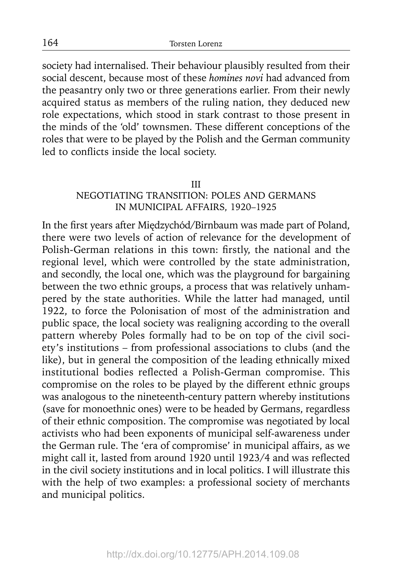society had internalised. Their behaviour plausibly resulted from their social descent, because most of these *homines novi* had advanced from the peasantry only two or three generations earlier. From their newly acquired status as members of the ruling nation, they deduced new role expectations, which stood in stark contrast to those present in the minds of the 'old' townsmen. These different conceptions of the roles that were to be played by the Polish and the German community led to conflicts inside the local society.

#### III

## NEGOTIATING TRANSITION: POLES AND GERMANS IN MUNICIPAL AFFAIRS, 1920–1925

In the first years after Międzychód/Birnbaum was made part of Poland, there were two levels of action of relevance for the development of Polish-German relations in this town: firstly, the national and the regional level, which were controlled by the state administration, and secondly, the local one, which was the playground for bargaining between the two ethnic groups, a process that was relatively unhampered by the state authorities. While the latter had managed, until 1922, to force the Polonisation of most of the administration and public space, the local society was realigning according to the overall pattern whereby Poles formally had to be on top of the civil society's institutions – from professional associations to clubs (and the like), but in general the composition of the leading ethnically mixed institutional bodies reflected a Polish-German compromise. This compromise on the roles to be played by the different ethnic groups was analogous to the nineteenth-century pattern whereby institutions (save for monoethnic ones) were to be headed by Germans, regardless of their ethnic composition. The compromise was negotiated by local activists who had been exponents of municipal self-awareness under the German rule. The 'era of compromise' in municipal affairs, as we might call it, lasted from around 1920 until 1923/4 and was reflected in the civil society institutions and in local politics. I will illustrate this with the help of two examples: a professional society of merchants and municipal politics.

164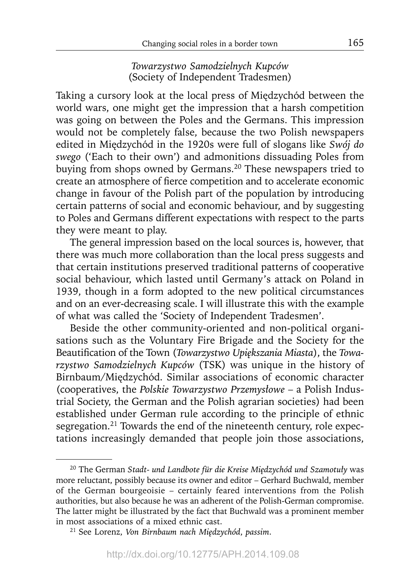*Towarzystwo Samodzielnych Kupców* (Society of Independent Tradesmen)

Taking a cursory look at the local press of Międzychód between the world wars, one might get the impression that a harsh competition was going on between the Poles and the Germans. This impression would not be completely false, because the two Polish newspapers edited in Międzychód in the 1920s were full of slogans like *Swój do swego* ('Each to their own') and admonitions dissuading Poles from buying from shops owned by Germans.<sup>20</sup> These newspapers tried to create an atmosphere of fierce competition and to accelerate economic change in favour of the Polish part of the population by introducing certain patterns of social and economic behaviour, and by suggesting to Poles and Germans different expectations with respect to the parts they were meant to play.

The general impression based on the local sources is, however, that there was much more collaboration than the local press suggests and that certain institutions preserved traditional patterns of cooperative social behaviour, which lasted until Germany's attack on Poland in 1939, though in a form adopted to the new political circumstances and on an ever-decreasing scale. I will illustrate this with the example of what was called the 'Society of Independent Tradesmen'.

Beside the other community-oriented and non-political organisations such as the Voluntary Fire Brigade and the Society for the Beautification of the Town (*Towarzystwo Upiększania Miasta*), the *Towarzystwo Samodzielnych Kupców* (TSK) was unique in the history of Birnbaum/Międzychód. Similar associations of economic character (cooperatives, the *Polskie Towarzystwo Przemysłowe* – a Polish Industrial Society, the German and the Polish agrarian societies) had been established under German rule according to the principle of ethnic segregation.<sup>21</sup> Towards the end of the nineteenth century, role expectations increasingly demanded that people join those associations,

<sup>20</sup> The German *Stadt- und Landbote für die Kreise Międzychód und Szamotuły* was more reluctant, possibly because its owner and editor – Gerhard Buchwald, member of the German bourgeoisie – certainly feared interventions from the Polish authorities, but also because he was an adherent of the Polish-German compromise. The latter might be illustrated by the fact that Buchwald was a prominent member in most associations of a mixed ethnic cast.

<sup>21</sup> See Lorenz, *Von Birnbaum nach Międzychód*, *passim*.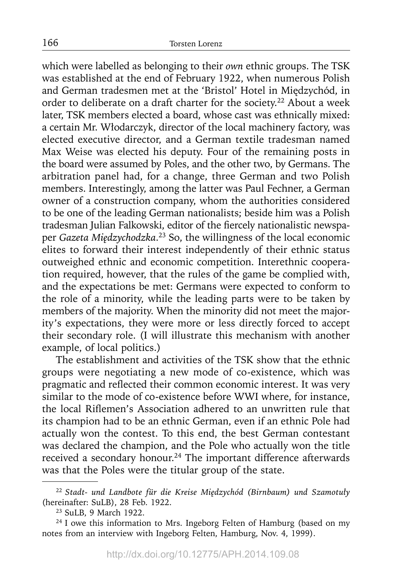which were labelled as belonging to their *own* ethnic groups. The TSK was established at the end of February 1922, when numerous Polish and German tradesmen met at the 'Bristol' Hotel in Międzychód, in order to deliberate on a draft charter for the society.<sup>22</sup> About a week later, TSK members elected a board, whose cast was ethnically mixed: a certain Mr. Włodarczyk, director of the local machinery factory, was elected executive director, and a German textile tradesman named Max Weise was elected his deputy. Four of the remaining posts in the board were assumed by Poles, and the other two, by Germans. The arbitration panel had, for a change, three German and two Polish members. Interestingly, among the latter was Paul Fechner, a German owner of a construction company, whom the authorities considered to be one of the leading German nationalists; beside him was a Polish tradesman Julian Falkowski, editor of the fiercely nationalistic newspaper *Gazeta Międzychodzka*. 23 So, the willingness of the local economic elites to forward their interest independently of their ethnic status outweighed ethnic and economic competition. Interethnic cooperation required, however, that the rules of the game be complied with, and the expectations be met: Germans were expected to conform to the role of a minority, while the leading parts were to be taken by members of the majority. When the minority did not meet the majority's expectations, they were more or less directly forced to accept their secondary role. (I will illustrate this mechanism with another example, of local politics.)

The establishment and activities of the TSK show that the ethnic groups were negotiating a new mode of co-existence, which was pragmatic and reflected their common economic interest. It was very similar to the mode of co-existence before WWI where, for instance, the local Riflemen's Association adhered to an unwritten rule that its champion had to be an ethnic German, even if an ethnic Pole had actually won the contest. To this end, the best German contestant was declared the champion, and the Pole who actually won the title received a secondary honour.<sup>24</sup> The important difference afterwards was that the Poles were the titular group of the state.

<sup>22</sup>*Stadt- und Landbote für die Kreise Międzychód (Birnbaum) und Szamotuły* (hereinafter: SuLB), 28 Feb. 1922.

<sup>23</sup> SuLB, 9 March 1922.

<sup>&</sup>lt;sup>24</sup> I owe this information to Mrs. Ingeborg Felten of Hamburg (based on my notes from an interview with Ingeborg Felten, Hamburg, Nov. 4, 1999).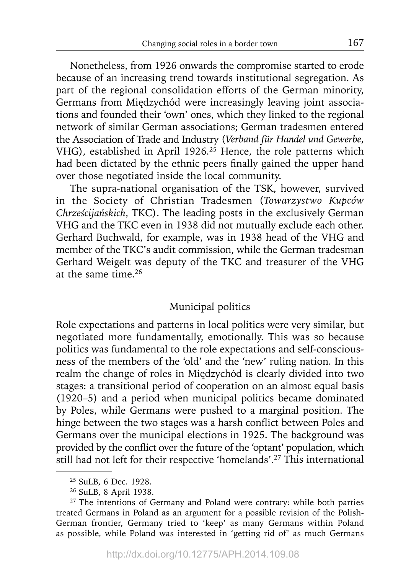Nonetheless, from 1926 onwards the compromise started to erode because of an increasing trend towards institutional segregation. As part of the regional consolidation efforts of the German minority, Germans from Międzychód were increasingly leaving joint associations and founded their 'own' ones, which they linked to the regional network of similar German associations; German tradesmen entered the Association of Trade and Industry ( *Verband für Handel und Gewerbe*, VHG), established in April 1926.<sup>25</sup> Hence, the role patterns which had been dictated by the ethnic peers finally gained the upper hand over those negotiated inside the local community.

The supra-national organisation of the TSK, however, survived in the Society of Christian Tradesmen (*Towarzystwo Kupców Chrześcijańskich*, TKC). The leading posts in the exclusively German VHG and the TKC even in 1938 did not mutually exclude each other. Gerhard Buchwald, for example, was in 1938 head of the VHG and member of the TKC's audit commission, while the German tradesman Gerhard Weigelt was deputy of the TKC and treasurer of the VHG at the same time.26

# Municipal politics

Role expectations and patterns in local politics were very similar, but negotiated more fundamentally, emotionally. This was so because politics was fundamental to the role expectations and self-consciousness of the members of the 'old' and the 'new' ruling nation. In this realm the change of roles in Międzychód is clearly divided into two stages: a transitional period of cooperation on an almost equal basis (1920–5) and a period when municipal politics became dominated by Poles, while Germans were pushed to a marginal position. The hinge between the two stages was a harsh conflict between Poles and Germans over the municipal elections in 1925. The background was provided by the conflict over the future of the 'optant' population, which still had not left for their respective 'homelands'.27 This international

<sup>25</sup> SuLB, 6 Dec. 1928.

<sup>26</sup> SuLB, 8 April 1938.

 $27$  The intentions of Germany and Poland were contrary: while both parties treated Germans in Poland as an argument for a possible revision of the Polish-German frontier, Germany tried to 'keep' as many Germans within Poland as possible, while Poland was interested in 'getting rid of' as much Germans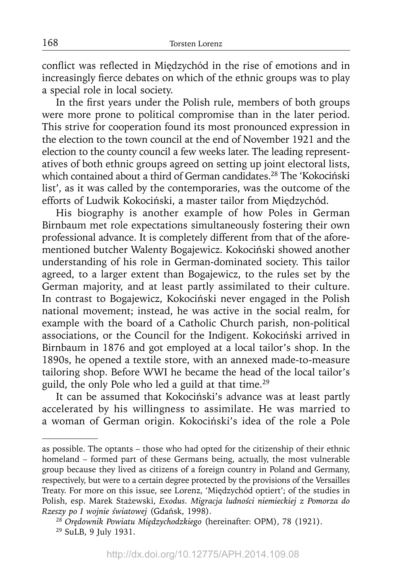conflict was reflected in Międzychód in the rise of emotions and in increasingly fierce debates on which of the ethnic groups was to play a special role in local society.

In the first years under the Polish rule, members of both groups were more prone to political compromise than in the later period. This strive for cooperation found its most pronounced expression in the election to the town council at the end of November 1921 and the election to the county council a few weeks later. The leading representatives of both ethnic groups agreed on setting up joint electoral lists, which contained about a third of German candidates.<sup>28</sup> The 'Kokociński list', as it was called by the contemporaries, was the outcome of the efforts of Ludwik Kokociński, a master tailor from Międzychód.

His biography is another example of how Poles in German Birnbaum met role expectations simultaneously fostering their own professional advance. It is completely different from that of the aforementioned butcher Walenty Bogajewicz. Kokociński showed another understanding of his role in German-dominated society. This tailor agreed, to a larger extent than Bogajewicz, to the rules set by the German majority, and at least partly assimilated to their culture. In contrast to Bogajewicz, Kokociński never engaged in the Polish national movement; instead, he was active in the social realm, for example with the board of a Catholic Church parish, non-political associations, or the Council for the Indigent. Kokociński arrived in Birnbaum in 1876 and got employed at a local tailor's shop. In the 1890s, he opened a textile store, with an annexed made-to-measure tailoring shop. Before WWI he became the head of the local tailor's guild, the only Pole who led a guild at that time.<sup>29</sup>

It can be assumed that Kokociński's advance was at least partly accelerated by his willingness to assimilate. He was married to a woman of German origin. Kokociński's idea of the role a Pole

as possible. The optants – those who had opted for the citizenship of their ethnic homeland – formed part of these Germans being, actually, the most vulnerable group because they lived as citizens of a foreign country in Poland and Germany, respectively, but were to a certain degree protected by the provisions of the Versailles Treaty. For more on this issue, see Lorenz, 'Międzychód optiert'; of the studies in Polish, esp. Marek Stażewski, *Exodus. Migracja ludności niemieckiej z Pomorza do Rzeszy po I wojnie światowej* (Gdańsk, 1998).

<sup>28</sup>*Orędownik Powiatu Międzychodzkiego* (hereinafter: OPM), 78 (1921). 29 SuLB, 9 July 1931.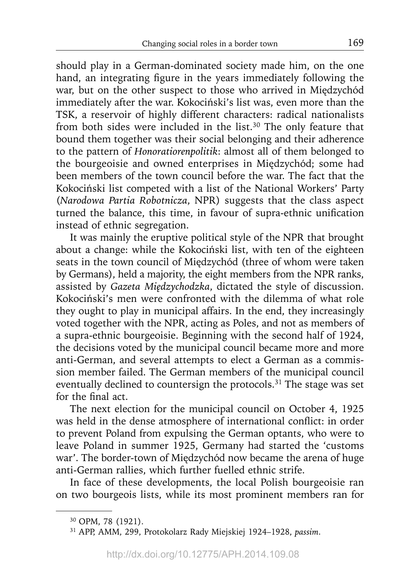should play in a German-dominated society made him, on the one hand, an integrating figure in the years immediately following the war, but on the other suspect to those who arrived in Międzychód immediately after the war. Kokociński's list was, even more than the TSK, a reservoir of highly different characters: radical nationalists from both sides were included in the list.<sup>30</sup> The only feature that bound them together was their social belonging and their adherence to the pattern of *Honoratiorenpolitik*: almost all of them belonged to the bourgeoisie and owned enterprises in Międzychód; some had been members of the town council before the war. The fact that the Kokociński list competed with a list of the National Workers' Party (*Narodowa Partia Robotnicza*, NPR) suggests that the class aspect turned the balance, this time, in favour of supra-ethnic unification instead of ethnic segregation.

It was mainly the eruptive political style of the NPR that brought about a change: while the Kokociński list, with ten of the eighteen seats in the town council of Międzychód (three of whom were taken by Germans), held a majority, the eight members from the NPR ranks, assisted by *Gazeta Międzychodzka*, dictated the style of discussion. Kokociński's men were confronted with the dilemma of what role they ought to play in municipal affairs. In the end, they increasingly voted together with the NPR, acting as Poles, and not as members of a supra-ethnic bourgeoisie. Beginning with the second half of 1924, the decisions voted by the municipal council became more and more anti-German, and several attempts to elect a German as a commission member failed. The German members of the municipal council eventually declined to countersign the protocols.<sup>31</sup> The stage was set for the final act.

The next election for the municipal council on October 4, 1925 was held in the dense atmosphere of international conflict: in order to prevent Poland from expulsing the German optants, who were to leave Poland in summer 1925, Germany had started the 'customs war'. The border-town of Międzychód now became the arena of huge anti-German rallies, which further fuelled ethnic strife.

In face of these developments, the local Polish bourgeoisie ran on two bourgeois lists, while its most prominent members ran for

<sup>30</sup> OPM, 78 (1921).

<sup>31</sup> APP, AMM, 299, Protokolarz Rady Miejskiej 1924–1928, *passim*.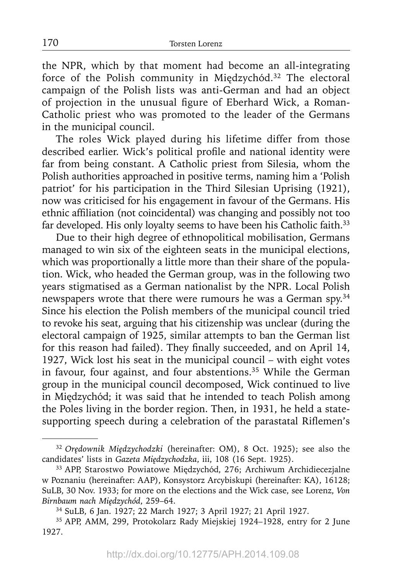the NPR, which by that moment had become an all-integrating force of the Polish community in Międzychód.<sup>32</sup> The electoral campaign of the Polish lists was anti-German and had an object of projection in the unusual figure of Eberhard Wick, a Roman-Catholic priest who was promoted to the leader of the Germans in the municipal council.

The roles Wick played during his lifetime differ from those described earlier. Wick's political profile and national identity were far from being constant. A Catholic priest from Silesia, whom the Polish authorities approached in positive terms, naming him a 'Polish patriot' for his participation in the Third Silesian Uprising (1921), now was criticised for his engagement in favour of the Germans. His ethnic affiliation (not coincidental) was changing and possibly not too far developed. His only loyalty seems to have been his Catholic faith.<sup>33</sup>

Due to their high degree of ethnopolitical mobilisation, Germans managed to win six of the eighteen seats in the municipal elections, which was proportionally a little more than their share of the population. Wick, who headed the German group, was in the following two years stigmatised as a German nationalist by the NPR. Local Polish newspapers wrote that there were rumours he was a German spy.34 Since his election the Polish members of the municipal council tried to revoke his seat, arguing that his citizenship was unclear (during the electoral campaign of 1925, similar attempts to ban the German list for this reason had failed). They finally succeeded, and on April 14, 1927, Wick lost his seat in the municipal council – with eight votes in favour, four against, and four abstentions.<sup>35</sup> While the German group in the municipal council decomposed, Wick continued to live in Międzychód; it was said that he intended to teach Polish among the Poles living in the border region. Then, in 1931, he held a statesupporting speech during a celebration of the parastatal Riflemen's

<sup>&</sup>lt;sup>32</sup> Orę*downik Międzychodzki* (hereinafter: OM), 8 Oct. 1925); see also the candidates' lists in Gazeta Międzychodzka, iii, 108 (16 Sept. 1925).

<sup>&</sup>lt;sup>33</sup> APP, Starostwo Powiatowe Międzychód, 276; Archiwum Archidiecezjalne w Poznaniu (hereinafter: AAP), Konsystorz Arcybiskupi (hereinafter: KA), 16128; SuLB, 30 Nov. 1933; for more on the elections and the Wick case, see Lorenz, *Von Birnbaum nach Międzychód*, 259–64.

<sup>34</sup> SuLB, 6 Jan. 1927; 22 March 1927; 3 April 1927; 21 April 1927.

<sup>35</sup> APP, AMM, 299, Protokolarz Rady Miejskiej 1924–1928, entry for 2 June 1927.